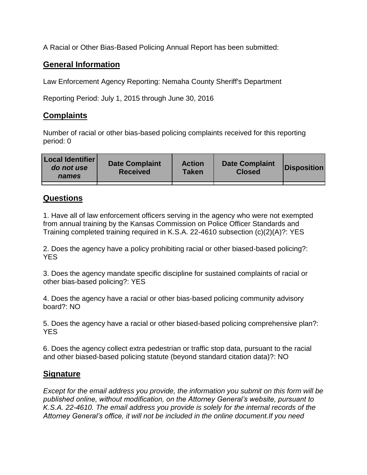A Racial or Other Bias-Based Policing Annual Report has been submitted:

## **General Information**

Law Enforcement Agency Reporting: Nemaha County Sheriff's Department

Reporting Period: July 1, 2015 through June 30, 2016

## **Complaints**

Number of racial or other bias-based policing complaints received for this reporting period: 0

| <b>Local Identifier</b><br>do not use<br>names | <b>Date Complaint</b><br><b>Received</b> | <b>Action</b><br><b>Taken</b> | <b>Date Complaint</b><br><b>Closed</b> | Disposition |
|------------------------------------------------|------------------------------------------|-------------------------------|----------------------------------------|-------------|
|                                                |                                          |                               |                                        |             |

## **Questions**

1. Have all of law enforcement officers serving in the agency who were not exempted from annual training by the Kansas Commission on Police Officer Standards and Training completed training required in K.S.A. 22-4610 subsection (c)(2)(A)?: YES

2. Does the agency have a policy prohibiting racial or other biased-based policing?: YES

3. Does the agency mandate specific discipline for sustained complaints of racial or other bias-based policing?: YES

4. Does the agency have a racial or other bias-based policing community advisory board?: NO

5. Does the agency have a racial or other biased-based policing comprehensive plan?: YES

6. Does the agency collect extra pedestrian or traffic stop data, pursuant to the racial and other biased-based policing statute (beyond standard citation data)?: NO

## **Signature**

*Except for the email address you provide, the information you submit on this form will be published online, without modification, on the Attorney General's website, pursuant to K.S.A. 22-4610. The email address you provide is solely for the internal records of the Attorney General's office, it will not be included in the online document.If you need*